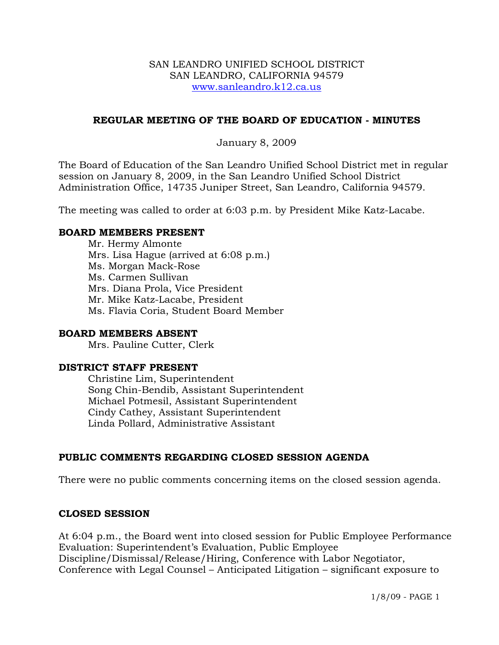#### SAN LEANDRO UNIFIED SCHOOL DISTRICT SAN LEANDRO, CALIFORNIA 94579 www.sanleandro.k12.ca.us

### **REGULAR MEETING OF THE BOARD OF EDUCATION - MINUTES**

January 8, 2009

The Board of Education of the San Leandro Unified School District met in regular session on January 8, 2009, in the San Leandro Unified School District Administration Office, 14735 Juniper Street, San Leandro, California 94579.

The meeting was called to order at 6:03 p.m. by President Mike Katz-Lacabe.

### **BOARD MEMBERS PRESENT**

Mr. Hermy Almonte Mrs. Lisa Hague (arrived at 6:08 p.m.) Ms. Morgan Mack-Rose Ms. Carmen Sullivan Mrs. Diana Prola, Vice President Mr. Mike Katz-Lacabe, President Ms. Flavia Coria, Student Board Member

#### **BOARD MEMBERS ABSENT**

Mrs. Pauline Cutter, Clerk

#### **DISTRICT STAFF PRESENT**

Christine Lim, Superintendent Song Chin-Bendib, Assistant Superintendent Michael Potmesil, Assistant Superintendent Cindy Cathey, Assistant Superintendent Linda Pollard, Administrative Assistant

# **PUBLIC COMMENTS REGARDING CLOSED SESSION AGENDA**

There were no public comments concerning items on the closed session agenda.

#### **CLOSED SESSION**

At 6:04 p.m., the Board went into closed session for Public Employee Performance Evaluation: Superintendent's Evaluation, Public Employee Discipline/Dismissal/Release/Hiring, Conference with Labor Negotiator, Conference with Legal Counsel – Anticipated Litigation – significant exposure to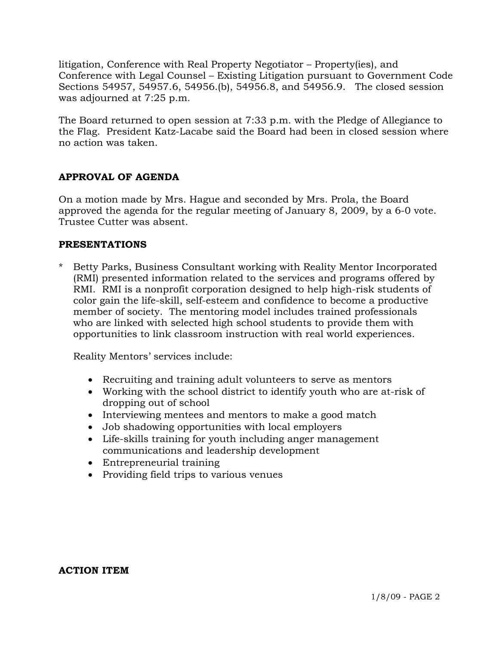litigation, Conference with Real Property Negotiator – Property(ies), and Conference with Legal Counsel – Existing Litigation pursuant to Government Code Sections 54957, 54957.6, 54956.(b), 54956.8, and 54956.9. The closed session was adjourned at 7:25 p.m.

The Board returned to open session at 7:33 p.m. with the Pledge of Allegiance to the Flag. President Katz-Lacabe said the Board had been in closed session where no action was taken.

# **APPROVAL OF AGENDA**

On a motion made by Mrs. Hague and seconded by Mrs. Prola, the Board approved the agenda for the regular meeting of January 8, 2009, by a 6-0 vote. Trustee Cutter was absent.

### **PRESENTATIONS**

Betty Parks, Business Consultant working with Reality Mentor Incorporated (RMI) presented information related to the services and programs offered by RMI. RMI is a nonprofit corporation designed to help high-risk students of color gain the life-skill, self-esteem and confidence to become a productive member of society. The mentoring model includes trained professionals who are linked with selected high school students to provide them with opportunities to link classroom instruction with real world experiences.

Reality Mentors' services include:

- Recruiting and training adult volunteers to serve as mentors
- Working with the school district to identify youth who are at-risk of dropping out of school
- Interviewing mentees and mentors to make a good match
- Job shadowing opportunities with local employers
- Life-skills training for youth including anger management communications and leadership development
- Entrepreneurial training
- Providing field trips to various venues

#### **ACTION ITEM**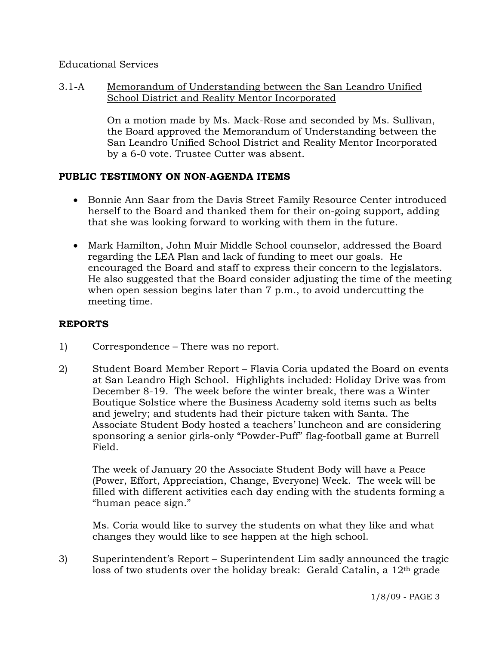### Educational Services

3.1-A Memorandum of Understanding between the San Leandro Unified School District and Reality Mentor Incorporated

> On a motion made by Ms. Mack-Rose and seconded by Ms. Sullivan, the Board approved the Memorandum of Understanding between the San Leandro Unified School District and Reality Mentor Incorporated by a 6-0 vote. Trustee Cutter was absent.

# **PUBLIC TESTIMONY ON NON-AGENDA ITEMS**

- Bonnie Ann Saar from the Davis Street Family Resource Center introduced herself to the Board and thanked them for their on-going support, adding that she was looking forward to working with them in the future.
- Mark Hamilton, John Muir Middle School counselor, addressed the Board regarding the LEA Plan and lack of funding to meet our goals. He encouraged the Board and staff to express their concern to the legislators. He also suggested that the Board consider adjusting the time of the meeting when open session begins later than 7 p.m., to avoid undercutting the meeting time.

# **REPORTS**

- 1) Correspondence There was no report.
- 2) Student Board Member Report Flavia Coria updated the Board on events at San Leandro High School. Highlights included: Holiday Drive was from December 8-19. The week before the winter break, there was a Winter Boutique Solstice where the Business Academy sold items such as belts and jewelry; and students had their picture taken with Santa. The Associate Student Body hosted a teachers' luncheon and are considering sponsoring a senior girls-only "Powder-Puff" flag-football game at Burrell Field.

The week of January 20 the Associate Student Body will have a Peace (Power, Effort, Appreciation, Change, Everyone) Week. The week will be filled with different activities each day ending with the students forming a "human peace sign."

Ms. Coria would like to survey the students on what they like and what changes they would like to see happen at the high school.

3) Superintendent's Report – Superintendent Lim sadly announced the tragic loss of two students over the holiday break: Gerald Catalin, a 12th grade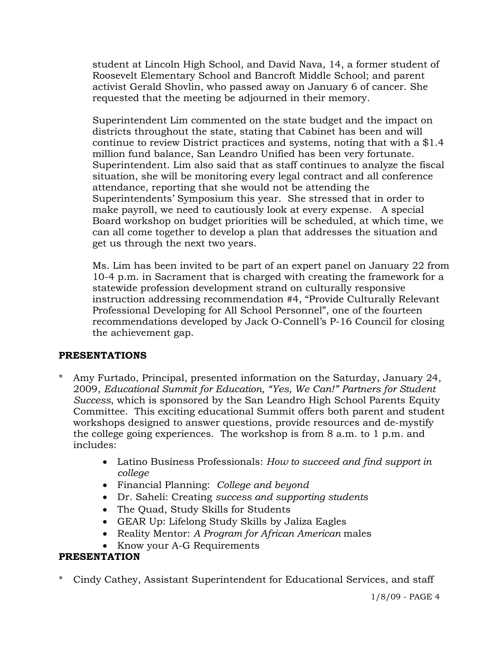student at Lincoln High School, and David Nava, 14, a former student of Roosevelt Elementary School and Bancroft Middle School; and parent activist Gerald Shovlin, who passed away on January 6 of cancer. She requested that the meeting be adjourned in their memory.

Superintendent Lim commented on the state budget and the impact on districts throughout the state, stating that Cabinet has been and will continue to review District practices and systems, noting that with a \$1.4 million fund balance, San Leandro Unified has been very fortunate. Superintendent. Lim also said that as staff continues to analyze the fiscal situation, she will be monitoring every legal contract and all conference attendance, reporting that she would not be attending the Superintendents' Symposium this year. She stressed that in order to make payroll, we need to cautiously look at every expense. A special Board workshop on budget priorities will be scheduled, at which time, we can all come together to develop a plan that addresses the situation and get us through the next two years.

Ms. Lim has been invited to be part of an expert panel on January 22 from 10-4 p.m. in Sacrament that is charged with creating the framework for a statewide profession development strand on culturally responsive instruction addressing recommendation #4, "Provide Culturally Relevant Professional Developing for All School Personnel", one of the fourteen recommendations developed by Jack O-Connell's P-16 Council for closing the achievement gap.

# **PRESENTATIONS**

- Amy Furtado, Principal, presented information on the Saturday, January 24, 2009, *Educational Summit for Education, "Yes, We Can!" Partners for Student Success*, which is sponsored by the San Leandro High School Parents Equity Committee. This exciting educational Summit offers both parent and student workshops designed to answer questions, provide resources and de-mystify the college going experiences. The workshop is from 8 a.m. to 1 p.m. and includes:
	- Latino Business Professionals: *How to succeed and find support in college*
	- Financial Planning: *College and beyond*
	- Dr. Saheli: Creating *success and supporting students*
	- The Quad, Study Skills for Students
	- GEAR Up: Lifelong Study Skills by Jaliza Eagles
	- Reality Mentor: *A Program for African American* males
	- Know your A-G Requirements

# **PRESENTATION**

\* Cindy Cathey, Assistant Superintendent for Educational Services, and staff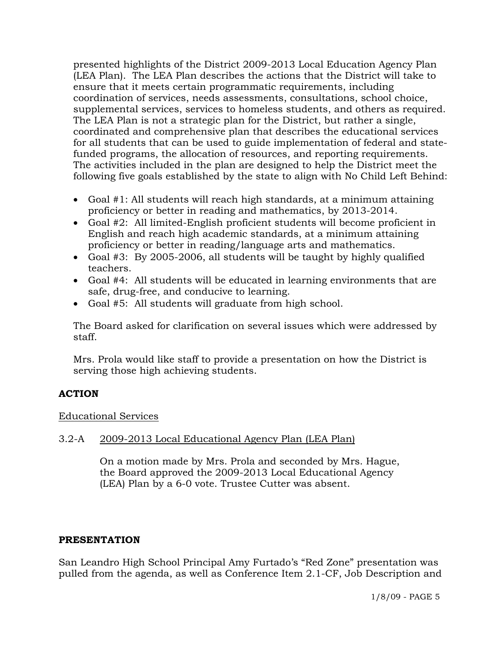presented highlights of the District 2009-2013 Local Education Agency Plan (LEA Plan). The LEA Plan describes the actions that the District will take to ensure that it meets certain programmatic requirements, including coordination of services, needs assessments, consultations, school choice, supplemental services, services to homeless students, and others as required. The LEA Plan is not a strategic plan for the District, but rather a single, coordinated and comprehensive plan that describes the educational services for all students that can be used to guide implementation of federal and statefunded programs, the allocation of resources, and reporting requirements. The activities included in the plan are designed to help the District meet the following five goals established by the state to align with No Child Left Behind:

- Goal #1: All students will reach high standards, at a minimum attaining proficiency or better in reading and mathematics, by 2013-2014.
- Goal #2: All limited-English proficient students will become proficient in English and reach high academic standards, at a minimum attaining proficiency or better in reading/language arts and mathematics.
- Goal #3: By 2005-2006, all students will be taught by highly qualified teachers.
- Goal #4: All students will be educated in learning environments that are safe, drug-free, and conducive to learning.
- Goal #5: All students will graduate from high school.

 The Board asked for clarification on several issues which were addressed by staff.

 Mrs. Prola would like staff to provide a presentation on how the District is serving those high achieving students.

# **ACTION**

# Educational Services

# 3.2-A 2009-2013 Local Educational Agency Plan (LEA Plan)

On a motion made by Mrs. Prola and seconded by Mrs. Hague, the Board approved the 2009-2013 Local Educational Agency (LEA) Plan by a 6-0 vote. Trustee Cutter was absent.

# **PRESENTATION**

San Leandro High School Principal Amy Furtado's "Red Zone" presentation was pulled from the agenda, as well as Conference Item 2.1-CF, Job Description and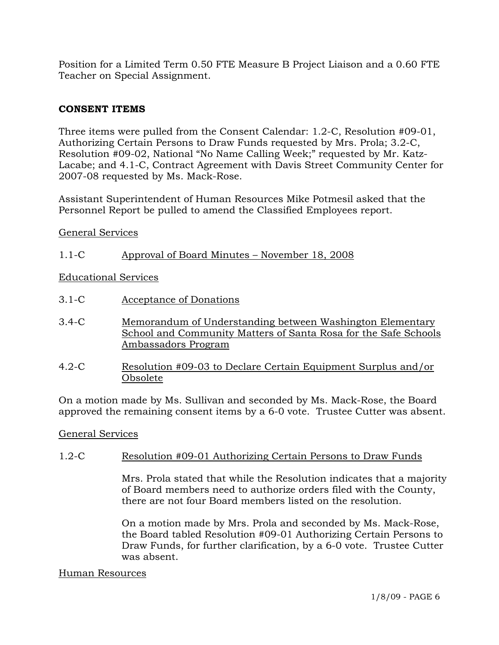Position for a Limited Term 0.50 FTE Measure B Project Liaison and a 0.60 FTE Teacher on Special Assignment.

# **CONSENT ITEMS**

Three items were pulled from the Consent Calendar: 1.2-C, Resolution #09-01, Authorizing Certain Persons to Draw Funds requested by Mrs. Prola; 3.2-C, Resolution #09-02, National "No Name Calling Week;" requested by Mr. Katz-Lacabe; and 4.1-C, Contract Agreement with Davis Street Community Center for 2007-08 requested by Ms. Mack-Rose.

Assistant Superintendent of Human Resources Mike Potmesil asked that the Personnel Report be pulled to amend the Classified Employees report.

General Services

1.1-C Approval of Board Minutes – November 18, 2008

Educational Services

- 3.1-C Acceptance of Donations
- 3.4-C Memorandum of Understanding between Washington Elementary School and Community Matters of Santa Rosa for the Safe Schools Ambassadors Program
- 4.2-C Resolution #09-03 to Declare Certain Equipment Surplus and/or Obsolete

On a motion made by Ms. Sullivan and seconded by Ms. Mack-Rose, the Board approved the remaining consent items by a 6-0 vote. Trustee Cutter was absent.

General Services

# 1.2-C Resolution #09-01 Authorizing Certain Persons to Draw Funds

Mrs. Prola stated that while the Resolution indicates that a majority of Board members need to authorize orders filed with the County, there are not four Board members listed on the resolution.

On a motion made by Mrs. Prola and seconded by Ms. Mack-Rose, the Board tabled Resolution #09-01 Authorizing Certain Persons to Draw Funds, for further clarification, by a 6-0 vote. Trustee Cutter was absent.

#### Human Resources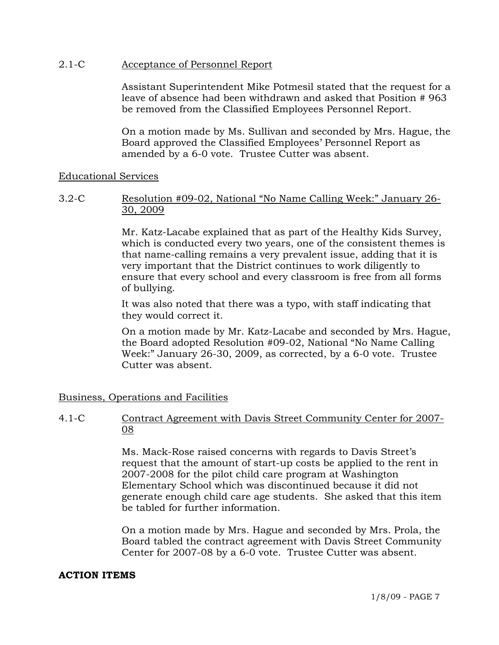### 2.1-C Acceptance of Personnel Report

Assistant Superintendent Mike Potmesil stated that the request for a leave of absence had been withdrawn and asked that Position # 963 be removed from the Classified Employees Personnel Report.

On a motion made by Ms. Sullivan and seconded by Mrs. Hague, the Board approved the Classified Employees' Personnel Report as amended by a 6-0 vote. Trustee Cutter was absent.

#### Educational Services

### 3.2-C Resolution #09-02, National "No Name Calling Week:" January 26- 30, 2009

Mr. Katz-Lacabe explained that as part of the Healthy Kids Survey, which is conducted every two years, one of the consistent themes is that name-calling remains a very prevalent issue, adding that it is very important that the District continues to work diligently to ensure that every school and every classroom is free from all forms of bullying.

It was also noted that there was a typo, with staff indicating that they would correct it.

On a motion made by Mr. Katz-Lacabe and seconded by Mrs. Hague, the Board adopted Resolution #09-02, National "No Name Calling Week:" January 26-30, 2009, as corrected, by a 6-0 vote. Trustee Cutter was absent.

#### Business, Operations and Facilities

# 4.1-C Contract Agreement with Davis Street Community Center for 2007- 08

Ms. Mack-Rose raised concerns with regards to Davis Street's request that the amount of start-up costs be applied to the rent in 2007-2008 for the pilot child care program at Washington Elementary School which was discontinued because it did not generate enough child care age students. She asked that this item be tabled for further information.

On a motion made by Mrs. Hague and seconded by Mrs. Prola, the Board tabled the contract agreement with Davis Street Community Center for 2007-08 by a 6-0 vote. Trustee Cutter was absent.

# **ACTION ITEMS**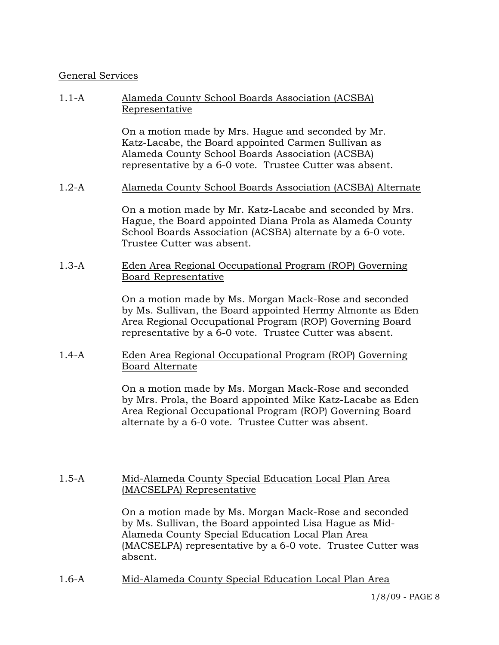### General Services

### 1.1-A Alameda County School Boards Association (ACSBA) Representative

On a motion made by Mrs. Hague and seconded by Mr. Katz-Lacabe, the Board appointed Carmen Sullivan as Alameda County School Boards Association (ACSBA) representative by a 6-0 vote. Trustee Cutter was absent.

#### 1.2-A Alameda County School Boards Association (ACSBA) Alternate

On a motion made by Mr. Katz-Lacabe and seconded by Mrs. Hague, the Board appointed Diana Prola as Alameda County School Boards Association (ACSBA) alternate by a 6-0 vote. Trustee Cutter was absent.

### 1.3-A Eden Area Regional Occupational Program (ROP) Governing Board Representative

On a motion made by Ms. Morgan Mack-Rose and seconded by Ms. Sullivan, the Board appointed Hermy Almonte as Eden Area Regional Occupational Program (ROP) Governing Board representative by a 6-0 vote. Trustee Cutter was absent.

#### 1.4-A Eden Area Regional Occupational Program (ROP) Governing Board Alternate

On a motion made by Ms. Morgan Mack-Rose and seconded by Mrs. Prola, the Board appointed Mike Katz-Lacabe as Eden Area Regional Occupational Program (ROP) Governing Board alternate by a 6-0 vote. Trustee Cutter was absent.

### 1.5-A Mid-Alameda County Special Education Local Plan Area (MACSELPA) Representative

On a motion made by Ms. Morgan Mack-Rose and seconded by Ms. Sullivan, the Board appointed Lisa Hague as Mid-Alameda County Special Education Local Plan Area (MACSELPA) representative by a 6-0 vote. Trustee Cutter was absent.

1.6-A Mid-Alameda County Special Education Local Plan Area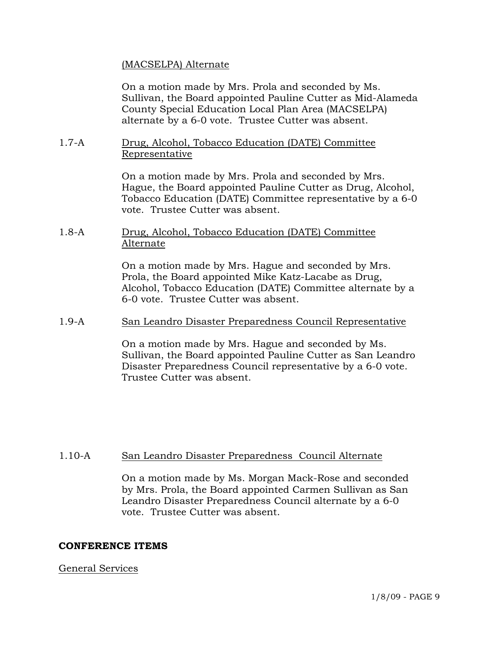### (MACSELPA) Alternate

On a motion made by Mrs. Prola and seconded by Ms. Sullivan, the Board appointed Pauline Cutter as Mid-Alameda County Special Education Local Plan Area (MACSELPA) alternate by a 6-0 vote. Trustee Cutter was absent.

#### 1.7-A Drug, Alcohol, Tobacco Education (DATE) Committee Representative

On a motion made by Mrs. Prola and seconded by Mrs. Hague, the Board appointed Pauline Cutter as Drug, Alcohol, Tobacco Education (DATE) Committee representative by a 6-0 vote. Trustee Cutter was absent.

### 1.8-A Drug, Alcohol, Tobacco Education (DATE) Committee Alternate

On a motion made by Mrs. Hague and seconded by Mrs. Prola, the Board appointed Mike Katz-Lacabe as Drug, Alcohol, Tobacco Education (DATE) Committee alternate by a 6-0 vote. Trustee Cutter was absent.

### 1.9-A San Leandro Disaster Preparedness Council Representative

On a motion made by Mrs. Hague and seconded by Ms. Sullivan, the Board appointed Pauline Cutter as San Leandro Disaster Preparedness Council representative by a 6-0 vote. Trustee Cutter was absent.

# 1.10-A San Leandro Disaster Preparedness Council Alternate

On a motion made by Ms. Morgan Mack-Rose and seconded by Mrs. Prola, the Board appointed Carmen Sullivan as San Leandro Disaster Preparedness Council alternate by a 6-0 vote. Trustee Cutter was absent.

# **CONFERENCE ITEMS**

# General Services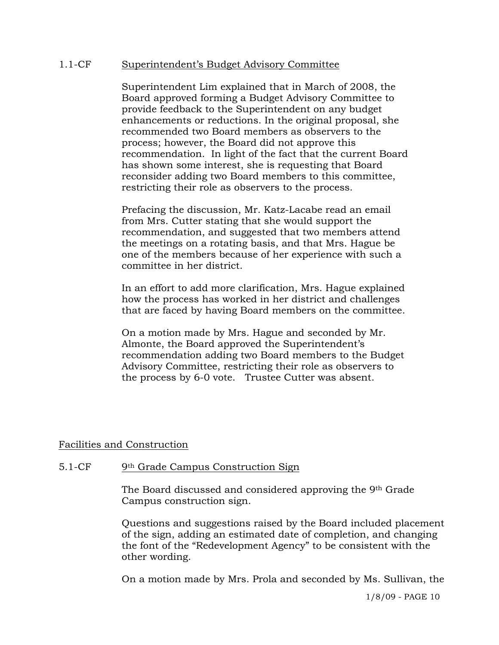### 1.1-CF Superintendent's Budget Advisory Committee

Superintendent Lim explained that in March of 2008, the Board approved forming a Budget Advisory Committee to provide feedback to the Superintendent on any budget enhancements or reductions. In the original proposal, she recommended two Board members as observers to the process; however, the Board did not approve this recommendation. In light of the fact that the current Board has shown some interest, she is requesting that Board reconsider adding two Board members to this committee, restricting their role as observers to the process.

Prefacing the discussion, Mr. Katz-Lacabe read an email from Mrs. Cutter stating that she would support the recommendation, and suggested that two members attend the meetings on a rotating basis, and that Mrs. Hague be one of the members because of her experience with such a committee in her district.

In an effort to add more clarification, Mrs. Hague explained how the process has worked in her district and challenges that are faced by having Board members on the committee.

On a motion made by Mrs. Hague and seconded by Mr. Almonte, the Board approved the Superintendent's recommendation adding two Board members to the Budget Advisory Committee, restricting their role as observers to the process by 6-0 vote. Trustee Cutter was absent.

#### Facilities and Construction

#### 5.1-CF 9th Grade Campus Construction Sign

The Board discussed and considered approving the 9th Grade Campus construction sign.

Questions and suggestions raised by the Board included placement of the sign, adding an estimated date of completion, and changing the font of the "Redevelopment Agency" to be consistent with the other wording.

On a motion made by Mrs. Prola and seconded by Ms. Sullivan, the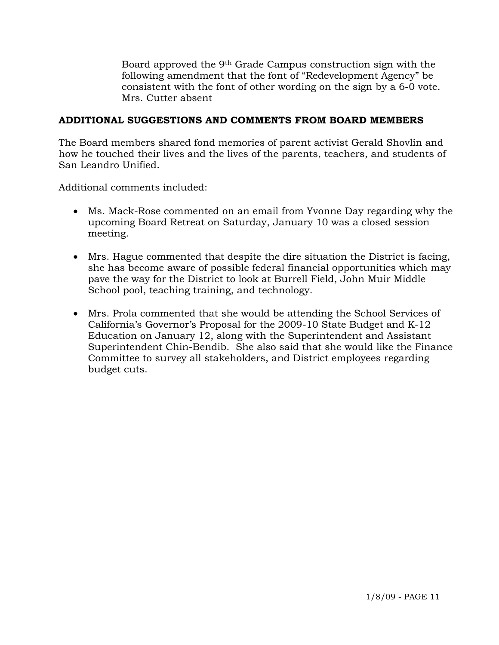Board approved the 9th Grade Campus construction sign with the following amendment that the font of "Redevelopment Agency" be consistent with the font of other wording on the sign by a 6-0 vote. Mrs. Cutter absent

# **ADDITIONAL SUGGESTIONS AND COMMENTS FROM BOARD MEMBERS**

The Board members shared fond memories of parent activist Gerald Shovlin and how he touched their lives and the lives of the parents, teachers, and students of San Leandro Unified.

Additional comments included:

- Ms. Mack-Rose commented on an email from Yvonne Day regarding why the upcoming Board Retreat on Saturday, January 10 was a closed session meeting.
- Mrs. Hague commented that despite the dire situation the District is facing, she has become aware of possible federal financial opportunities which may pave the way for the District to look at Burrell Field, John Muir Middle School pool, teaching training, and technology.
- Mrs. Prola commented that she would be attending the School Services of California's Governor's Proposal for the 2009-10 State Budget and K-12 Education on January 12, along with the Superintendent and Assistant Superintendent Chin-Bendib. She also said that she would like the Finance Committee to survey all stakeholders, and District employees regarding budget cuts.